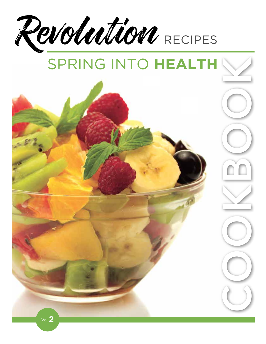

# SPRING INTO **HEALTH**

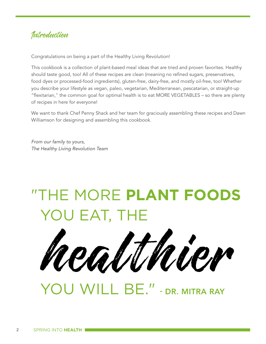## Introduction

Congratulations on being a part of the Healthy Living Revolution!

This cookbook is a collection of plant-based meal ideas that are tried and proven favorites. Healthy should taste good, too! All of these recipes are clean (meaning no refined sugars, preservatives, food dyes or processed-food ingredients), gluten-free, dairy-free, and mostly oil-free, too! Whether you describe your lifestyle as vegan, paleo, vegetarian, Mediterranean, pescatarian, or straight-up "flexitarian," the common goal for optimal health is to eat MORE VEGETABLES – so there are plenty of recipes in here for everyone!

We want to thank Chef Penny Shack and her team for graciously assembling these recipes and Dawn Williamson for designing and assembling this cookbook.

*From our family to yours, The Healthy Living Revolution Team*

## "THE MORE **PLANT FOODS** YOU EAT, THE

healthier

YOU WILL BE." - DR. MITRA RAY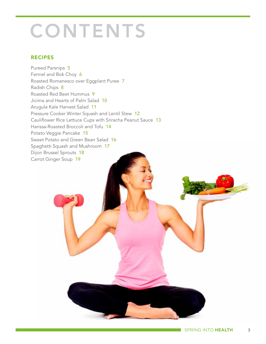## **CONTENTS**

#### RECIPES

Pureed Parsnips 5 Fennel and Bok Choy 6 Roasted Romanesco over Eggplant Puree 7 Radish Chips 8 Roasted Red Beet Hummus 9 Jicima and Hearts of Palm Salad 10 Arugula Kale Harvest Salad 11 Pressure Cooker Winter Squash and Lentil Stew 12 Cauliflower Rice Lettuce Cups with Sriracha Peanut Sauce 13 Harissa-Roasted Broccoli and Tofu 14 Potato Veggie Pancake 15 Sweet Potato and Green Bean Salad 16 Spaghetti Squash and Mushroom 17 Dijon Brussel Sprouts 18 Carrot Ginger Soup 19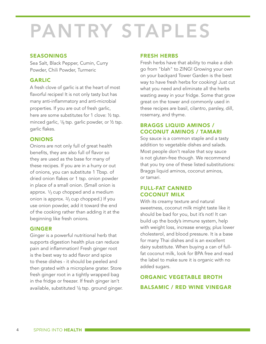## PANTRY STAPLES

#### SEASONINGS

Sea Salt, Black Pepper, Cumin, Curry Powder, Chili Powder, Turmeric

#### GARLIC

A fresh clove of garlic is at the heart of most flavorful recipes! It is not only tasty but has many anti-inflammatory and anti-microbial properties. If you are out of fresh garlic, here are some substitutes for 1 clove: ½ tsp. minced garlic,  $\frac{1}{8}$  tsp. garlic powder, or  $\frac{1}{2}$  tsp. garlic flakes.

#### **ONIONS**

Onions are not only full of great health benefits, they are also full of flavor so they are used as the base for many of these recipes. If you are in a hurry or out of onions, you can substitute 1 Tbsp. of dried onion flakes or 1 tsp. onion powder in place of a small onion. (Small onion is approx.  $\frac{1}{3}$  cup chopped and a medium onion is approx. 2/3 cup chopped.) If you use onion powder, add it toward the end of the cooking rather than adding it at the beginning like fresh onions.

#### GINGER

Ginger is a powerful nutritional herb that supports digestion health plus can reduce pain and inflammation! Fresh ginger root is the best way to add flavor and spice to these dishes - it should be peeled and then grated with a microplane grater. Store fresh ginger root in a tightly wrapped bag in the fridge or freezer. If fresh ginger isn't available, substituted  $\frac{1}{8}$  tsp. ground ginger.

#### FRESH HERBS

Fresh herbs have that ability to make a dish go from "blah" to ZING! Growing your own on your backyard Tower Garden is the best way to have fresh herbs for cooking! Just cut what you need and eliminate all the herbs wasting away in your fridge. Some that grow great on the tower and commonly used in these recipes are basil, cilantro, parsley, dill, rosemary, and thyme.

#### BRAGGS LIQUID AMINOS / COCONUT AMINOS / TAMARI

Soy sauce is a common staple and a tasty addition to vegetable dishes and salads. Most people don't realize that soy sauce is not gluten-free though. We recommend that you try one of these listed substitutions: Braggs liquid aminos, coconut aminos, or tamari.

#### FULL-FAT CANNED COCONUT MILK

With its creamy texture and natural sweetness, coconut milk might taste like it should be bad for you, but it's not! It can build up the body's immune system, help with weight loss, increase energy, plus lower cholesterol, and blood pressure. It is a base for many Thai dishes and is an excellent dairy substitute. When buying a can of fullfat coconut milk, look for BPA free and read the label to make sure it is organic with no added sugars.

#### ORGANIC VEGETABLE BROTH BALSAMIC / RED WINE VINEGAR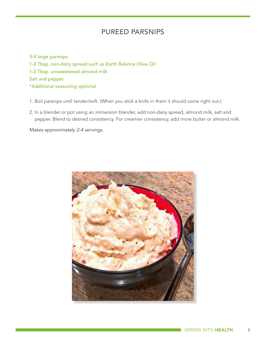#### PUREED PARSNIPS

3-4 large parsnips 1-2 Tbsp. non-dairy spread such as Earth Balance Olive Oil 1-2 Tbsp. unsweetened almond milk Salt and pepper \*Additional seasoning optional

- 1. Boil parsnips until tender/soft. (When you stick a knife in them it should come right out.)
- 2. In a blender or pot using an immersion blender, add non-dairy spread, almond milk, salt and pepper. Blend to desired consistency. For creamier consistency, add more butter or almond milk.

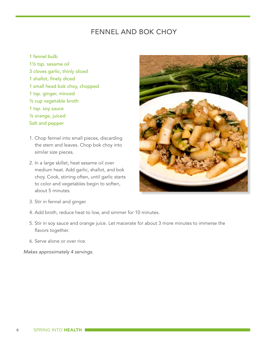## FENNEL AND BOK CHOY

- 1 fennel bulb
- 1½ tsp. sesame oil 3 cloves garlic, thinly sliced 1 shallot, finely diced 1 small head bok choy, chopped 1 tsp. ginger, minced ½ cup vegetable broth 1 tsp. soy sauce ½ orange, juiced Salt and pepper
- 1. Chop fennel into small pieces, discarding the stem and leaves. Chop bok choy into similar size pieces.
- 2. In a large skillet, heat sesame oil over medium heat. Add garlic, shallot, and bok choy. Cook, stirring often, until garlic starts to color and vegetables begin to soften, about 5 minutes.



- 3. Stir in fennel and ginger.
- 4. Add broth, reduce heat to low, and simmer for 10 minutes.
- 5. Stir in soy sauce and orange juice. Let macerate for about 3 more minutes to immerse the flavors together.
- 6. Serve alone or over rice.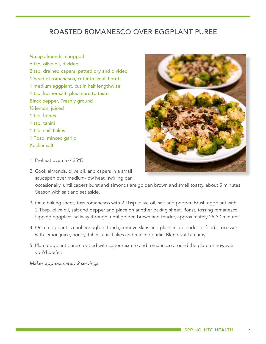## ROASTED ROMANESCO OVER EGGPLANT PUREE

¼ cup almonds, chopped 6 tsp. olive oil, divided 2 tsp. drained capers, patted dry and divided 1 head of romanesco, cut into small florets 1 medium eggplant, cut in half lengthwise 1 tsp. kosher salt, plus more to taste Black pepper, Freshly ground ½ lemon, juiced 1 tsp. honey 1 tsp. tahini 1 tsp. chili flakes 1 Tbsp. minced garlic Kosher salt

- 1. Preheat oven to 425°F.
- 2. Cook almonds, olive oil, and capers in a small saucepan over medium-low heat, swirling pan

 occasionally, until capers burst and almonds are golden brown and smell toasty, about 5 minutes. Season with salt and set aside.

- 3. On a baking sheet, toss romanesco with 2 Tbsp. olive oil, salt and pepper. Brush eggplant with 2 Tbsp. olive oil, salt and pepper and place on another baking sheet. Roast, tossing romanesco flipping eggplant halfway through, until golden brown and tender, approximately 25-30 minutes.
- 4. Once eggplant is cool enough to touch, remove skins and place in a blender or food processor with lemon juice, honey, tahini, chili flakes and minced garlic. Blend until creamy.
- 5. Plate eggplant puree topped with caper mixture and romanesco around the plate or however you'd prefer.

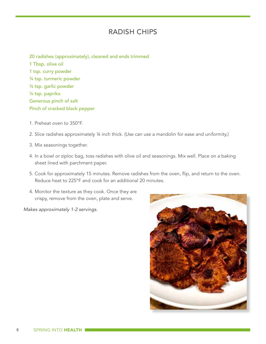#### RADISH CHIPS

20 radishes (approximately), cleaned and ends trimmed 1 Tbsp. olive oil 1 tsp. curry powder ¼ tsp. turmeric powder ¼ tsp. garlic powder ¼ tsp. paprika Generous pinch of salt Pinch of cracked black pepper

- 1. Preheat oven to 350°F.
- 2. Slice radishes approximately ¼ inch thick. (Use can use a mandolin for ease and uniformity.)
- 3. Mix seasonings together.
- 4. In a bowl or ziploc bag, toss radishes with olive oil and seasonings. Mix well. Place on a baking sheet lined with parchment paper.
- 5. Cook for approximately 15 minutes. Remove radishes from the oven, flip, and return to the oven. Reduce heat to 225°F and cook for an additional 20 minutes.
- 4. Monitor the texture as they cook. Once they are crispy, remove from the oven, plate and serve.

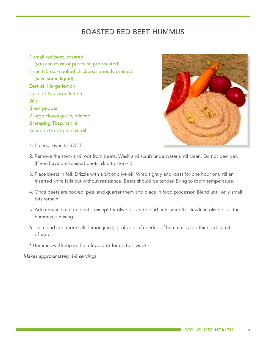#### ROASTED RED BEET HUMMUS

1 small red beet, roasted (you can roast or purchase pre-roasted) 1 can (15 oz.) cooked chickpeas, mostly drained (save some liquid) Zest of 1 large lemon Juice of ½ a large lemon **Salt** Black pepper 2 large cloves garlic, minced 2 heaping Tbsp. tahini ¼ cup extra virgin olive oil



- 1. Preheat oven to 375°F.
- 2. Remove the stem and root from beets. Wash and scrub underwater until clean. Do not peel yet. (If you have pre-roasted beets, skip to step 4.)
- 3. Place beets in foil. Drizzle with a bit of olive oil. Wrap tightly and roast for one hour or until an inserted knife falls out without resistance. Beets should be tender. Bring to room temperature.
- 4. Once beets are cooled, peel and quarter them and place in food processor. Blend until only small bits remain.
- 5. Add remaining ingredients, except for olive oil, and blend until smooth. Drizzle in olive oil as the hummus is mixing.
- 6. Taste and add more salt, lemon juice, or olive oil if needed. If hummus is too thick, add a bit of water.

\* Hummus will keep in the refrigerator for up to 1 week.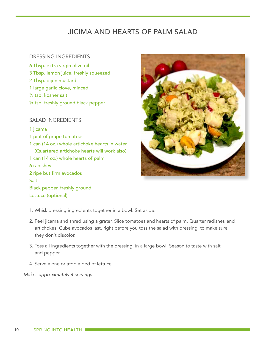## JICIMA AND HEARTS OF PALM SALAD

#### DRESSING INGREDIENTS

6 Tbsp. extra virgin olive oil 3 Tbsp. lemon juice, freshly squeezed 2 Tbsp. dijon mustard 1 large garlic clove, minced ½ tsp. kosher salt ¼ tsp. freshly ground black pepper

#### SALAD INGREDIENTS

1 jicama

- 1 pint of grape tomatoes
- 1 can (14 oz.) whole artichoke hearts in water (Quartered artichoke hearts will work also) 1 can (14 oz.) whole hearts of palm 6 radishes 2 ripe but firm avocados Salt Black pepper, freshly ground Lettuce (optional)



- 1. Whisk dressing ingredients together in a bowl. Set aside.
- 2. Peel jicama and shred using a grater. Slice tomatoes and hearts of palm. Quarter radishes and artichokes. Cube avocados last, right before you toss the salad with dressing, to make sure they don't discolor.
- 3. Toss all ingredients together with the dressing, in a large bowl. Season to taste with salt and pepper.
- 4. Serve alone or atop a bed of lettuce.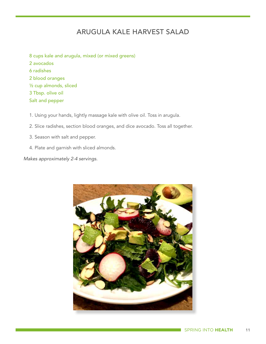## ARUGULA KALE HARVEST SALAD

- 8 cups kale and arugula, mixed (or mixed greens) 2 avocados 6 radishes 2 blood oranges ½ cup almonds, sliced 3 Tbsp. olive oil Salt and pepper
- 1. Using your hands, lightly massage kale with olive oil. Toss in arugula.
- 2. Slice radishes, section blood oranges, and dice avocado. Toss all together.
- 3. Season with salt and pepper.
- 4. Plate and garnish with sliced almonds.

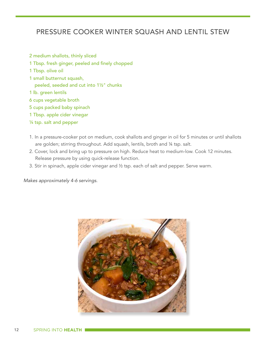## PRESSURE COOKER WINTER SOUASH AND LENTIL STEW

- 2 medium shallots, thinly sliced
- 1 Tbsp. fresh ginger, peeled and finely chopped
- 1 Tbsp. olive oil
- 1 small butternut squash, peeled, seeded and cut into 1½" chunks
- 1 lb. green lentils
- 6 cups vegetable broth
- 5 cups packed baby spinach
- 1 Tbsp. apple cider vinegar
- ¼ tsp. salt and pepper
- 1. In a pressure-cooker pot on medium, cook shallots and ginger in oil for 5 minutes or until shallots are golden; stirring throughout. Add squash, lentils, broth and 1/4 tsp. salt.
- 2. Cover, lock and bring up to pressure on high. Reduce heat to medium-low. Cook 12 minutes. Release pressure by using quick-release function.
- 3. Stir in spinach, apple cider vinegar and ½ tsp. each of salt and pepper. Serve warm.

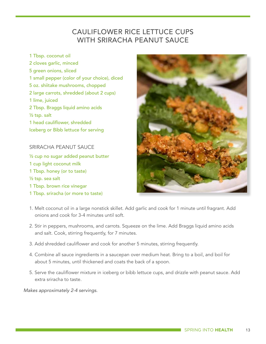## CAULIFLOWER RICE LETTUCE CUPS WITH SRIRACHA PEANUT SAUCE

1 Tbsp. coconut oil 2 cloves garlic, minced 5 green onions, sliced 1 small pepper (color of your choice), diced 5 oz. shiitake mushrooms, chopped 2 large carrots, shredded (about 2 cups) 1 lime, juiced 2 Tbsp. Braggs liquid amino acids ½ tsp. salt 1 head cauliflower, shredded Iceberg or Bibb lettuce for serving

#### SRIRACHA PEANUT SAUCE

½ cup no sugar added peanut butter 1 cup light coconut milk 1 Tbsp. honey (or to taste) ½ tsp. sea salt 1 Tbsp. brown rice vinegar 1 Tbsp. sriracha (or more to taste)



- 1. Melt coconut oil in a large nonstick skillet. Add garlic and cook for 1 minute until fragrant. Add onions and cook for 3-4 minutes until soft.
- 2. Stir in peppers, mushrooms, and carrots. Squeeze on the lime. Add Braggs liquid amino acids and salt. Cook, stirring frequently, for 7 minutes.
- 3. Add shredded cauliflower and cook for another 5 minutes, stirring frequently.
- 4. Combine all sauce ingredients in a saucepan over medium heat. Bring to a boil, and boil for about 5 minutes, until thickened and coats the back of a spoon.
- 5. Serve the cauliflower mixture in iceberg or bibb lettuce cups, and drizzle with peanut sauce. Add extra sriracha to taste.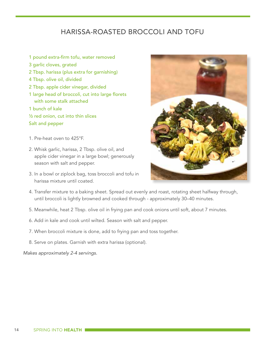## HARISSA-ROASTED BROCCOLI AND TOFU

- 1 pound extra-firm tofu, water removed
- 3 garlic cloves, grated
- 2 Tbsp. harissa (plus extra for garnishing)
- 4 Tbsp. olive oil, divided
- 2 Tbsp. apple cider vinegar, divided
- 1 large head of broccoli, cut into large florets with some stalk attached
- 1 bunch of kale
- ½ red onion, cut into thin slices
- Salt and pepper
- 1. Pre-heat oven to 425°F.
- 2. Whisk garlic, harissa, 2 Tbsp. olive oil, and apple cider vinegar in a large bowl; generously season with salt and pepper.
- 3. In a bowl or ziplock bag, toss broccoli and tofu in harissa mixture until coated.



- 4. Transfer mixture to a baking sheet. Spread out evenly and roast, rotating sheet halfway through, until broccoli is lightly browned and cooked through - approximately 30–40 minutes.
- 5. Meanwhile, heat 2 Tbsp. olive oil in frying pan and cook onions until soft, about 7 minutes.
- 6. Add in kale and cook until wilted. Season with salt and pepper.
- 7. When broccoli mixture is done, add to frying pan and toss together.
- 8. Serve on plates. Garnish with extra harissa (optional).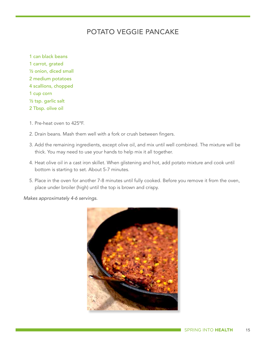## POTATO VEGGIE PANCAKE

- 1 can black beans 1 carrot, grated ½ onion, diced small 2 medium potatoes 4 scallions, chopped 1 cup corn ½ tsp. garlic salt 2 Tbsp. olive oil
- 1. Pre-heat oven to 425ºF.
- 2. Drain beans. Mash them well with a fork or crush between fingers.
- 3. Add the remaining ingredients, except olive oil, and mix until well combined. The mixture will be thick. You may need to use your hands to help mix it all together.
- 4. Heat olive oil in a cast iron skillet. When glistening and hot, add potato mixture and cook until bottom is starting to set. About 5-7 minutes.
- 5. Place in the oven for another 7-8 minutes until fully cooked. Before you remove it from the oven, place under broiler (high) until the top is brown and crispy.

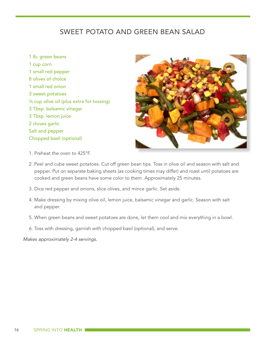## SWEET POTATO AND GREEN BEAN SALAD

1 lb. green beans 1 cup corn 1 small red pepper 8 olives of choice 1 small red onion 3 sweet potatoes ¼ cup olive oil (plus extra for tossing) 3 Tbsp. balsamic vinegar 3 Tbsp. lemon juice 2 cloves garlic Salt and pepper Chopped basil (optional)



- 1. Preheat the oven to 425°F.
- 2. Peel and cube sweet potatoes. Cut off green bean tips. Toss in olive oil and season with salt and pepper. Put on separate baking sheets (as cooking times may differ) and roast until potatoes are cooked and green beans have some color to them. Approximately 25 minutes.
- 3. Dice red pepper and onions, slice olives, and mince garlic. Set aside.
- 4. Make dressing by mixing olive oil, lemon juice, balsamic vinegar and garlic. Season with salt and pepper.
- 5. When green beans and sweet potatoes are done, let them cool and mix everything in a bowl.
- 6. Toss with dressing, garnish with chopped basil (optional), and serve.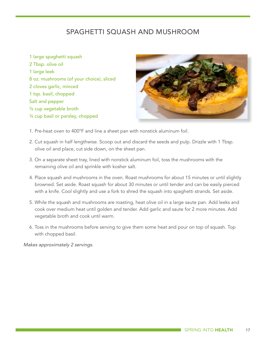## SPAGHETTI SQUASH AND MUSHROOM

1 large spaghetti squash 2 Tbsp. olive oil 1 large leek 8 oz. mushrooms (of your choice), sliced 2 cloves garlic, minced 1 tsp. basil, chopped Salt and pepper ½ cup vegetable broth ¼ cup basil or parsley, chopped



- 1. Pre-heat oven to 400°F and line a sheet pan with nonstick aluminum foil.
- 2. Cut squash in half lengthwise. Scoop out and discard the seeds and pulp. Drizzle with 1 Tbsp. olive oil and place, cut side down, on the sheet pan.
- 3. On a separate sheet tray, lined with nonstick aluminum foil, toss the mushrooms with the remaining olive oil and sprinkle with kosher salt.
- 4. Place squash and mushrooms in the oven. Roast mushrooms for about 15 minutes or until slightly browned. Set aside. Roast squash for about 30 minutes or until tender and can be easily pierced with a knife. Cool slightly and use a fork to shred the squash into spaghetti strands. Set aside.
- 5. While the squash and mushrooms are roasting, heat olive oil in a large saute pan. Add leeks and cook over medium heat until golden and tender. Add garlic and saute for 2 more minutes. Add vegetable broth and cook until warm.
- 6. Toss in the mushrooms before serving to give them some heat and pour on top of squash. Top with chopped basil.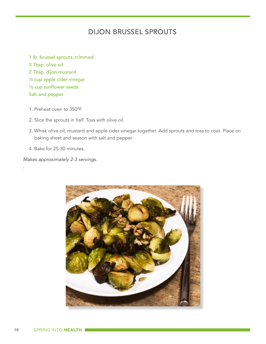## DIJON BRUSSEL SPROUTS

1 lb. brussel sprouts, trimmed 3 Tbsp. olive oil 2 Tbsp. dijon mustard ¼ cup apple cider vinegar 1/3 cup sunflower seeds Salt and pepper

- 1. Preheat oven to 350ºF.
- 2. Slice the sprouts in half. Toss with olive oil.
- 3. Whisk olive oil, mustard and apple cider vinegar together. Add sprouts and toss to coat. Place on baking sheet and season with salt and pepper.
- 4. Bake for 25-30 minutes.

*.*

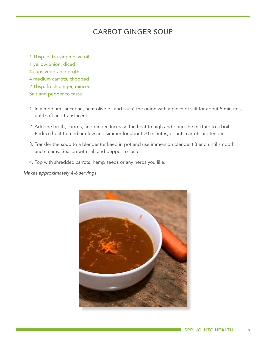## CARROT GINGER SOUP

1 Tbsp. extra-virgin olive oil 1 yellow onion, diced 4 cups vegetable broth 4 medium carrots, chopped 2 Tbsp. fresh ginger, minced Salt and pepper to taste

- 1. In a medium saucepan, heat olive oil and sauté the onion with a pinch of salt for about 5 minutes, until soft and translucent.
- 2. Add the broth, carrots, and ginger. Increase the heat to high and bring the mixture to a boil. Reduce heat to medium-low and simmer for about 20 minutes, or until carrots are tender.
- 3. Transfer the soup to a blender (or keep in pot and use immersion blender.) Blend until smooth and creamy. Season with salt and pepper to taste.
- 4. Top with shredded carrots, hemp seeds or any herbs you like.